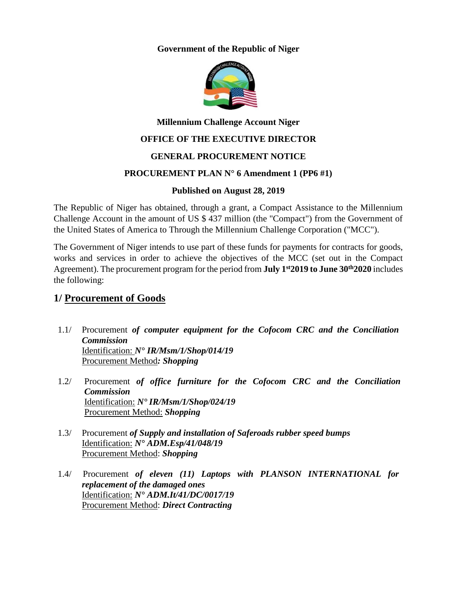**Government of the Republic of Niger**



## **Millennium Challenge Account Niger**

### **OFFICE OF THE EXECUTIVE DIRECTOR**

### **GENERAL PROCUREMENT NOTICE**

### **PROCUREMENT PLAN N° 6 Amendment 1 (PP6 #1)**

### **Published on August 28, 2019**

The Republic of Niger has obtained, through a grant, a Compact Assistance to the Millennium Challenge Account in the amount of US \$ 437 million (the "Compact") from the Government of the United States of America to Through the Millennium Challenge Corporation ("MCC").

The Government of Niger intends to use part of these funds for payments for contracts for goods, works and services in order to achieve the objectives of the MCC (set out in the Compact Agreement). The procurement program for the period from **July 1 st2019 to June 30 th2020** includes the following:

## **1/ Procurement of Goods**

- 1.1/ Procurement *of computer equipment for the Cofocom CRC and the Conciliation Commission* Identification: *N° IR/Msm/1/Shop/014/19* Procurement Method*: Shopping*
- 1.2/ Procurement *of office furniture for the Cofocom CRC and the Conciliation Commission* Identification: *N° IR/Msm/1/Shop/024/19* Procurement Method: *Shopping*
- 1.3/ Procurement *of Supply and installation of Saferoads rubber speed bumps* Identification: *N° ADM.Esp/41/048/19* Procurement Method: *Shopping*
- 1.4/ Procurement *of eleven (11) Laptops with PLANSON INTERNATIONAL for replacement of the damaged ones* Identification: *N° ADM.It/41/DC/0017/19* Procurement Method: *Direct Contracting*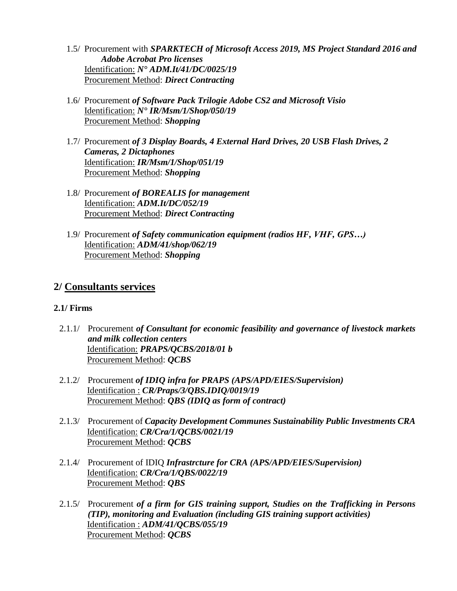- 1.5/ Procurement with *SPARKTECH of Microsoft Access 2019, MS Project Standard 2016 and Adobe Acrobat Pro licenses* Identification: *N° ADM.It/41/DC/0025/19* Procurement Method: *Direct Contracting*
- 1.6/ Procurement *of Software Pack Trilogie Adobe CS2 and Microsoft Visio* Identification: *N° IR/Msm/1/Shop/050/19* Procurement Method: *Shopping*
- 1.7/ Procurement *of 3 Display Boards, 4 External Hard Drives, 20 USB Flash Drives, 2 Cameras, 2 Dictaphones* Identification: *IR/Msm/1/Shop/051/19* Procurement Method: *Shopping*
- 1.8/ Procurement *of BOREALIS for management* Identification: *ADM.It/DC/052/19* Procurement Method: *Direct Contracting*
- 1.9/ Procurement *of Safety communication equipment (radios HF, VHF, GPS…)* Identification: *ADM/41/shop/062/19* Procurement Method: *Shopping*

## **2/ Consultants services**

### **2.1/ Firms**

- 2.1.1/ Procurement *of Consultant for economic feasibility and governance of livestock markets and milk collection centers* Identification: *PRAPS/QCBS/2018/01 b* Procurement Method: *QCBS*
- 2.1.2/ Procurement *of IDIQ infra for PRAPS (APS/APD/EIES/Supervision)* Identification : *CR/Praps/3/QBS.IDIQ/0019/19* Procurement Method: *QBS (IDIQ as form of contract)*
- 2.1.3/ Procurement of *Capacity Development Communes Sustainability Public Investments CRA* Identification: *CR/Cra/1/QCBS/0021/19* Procurement Method: *QCBS*
- 2.1.4/ Procurement of IDIQ *Infrastrcture for CRA (APS/APD/EIES/Supervision)* Identification: *CR/Cra/1/QBS/0022/19* Procurement Method: *QBS*
- 2.1.5/ Procurement *of a firm for GIS training support, Studies on the Trafficking in Persons (TIP), monitoring and Evaluation (including GIS training support activities)* Identification : *ADM/41/QCBS/055/19* Procurement Method: *QCBS*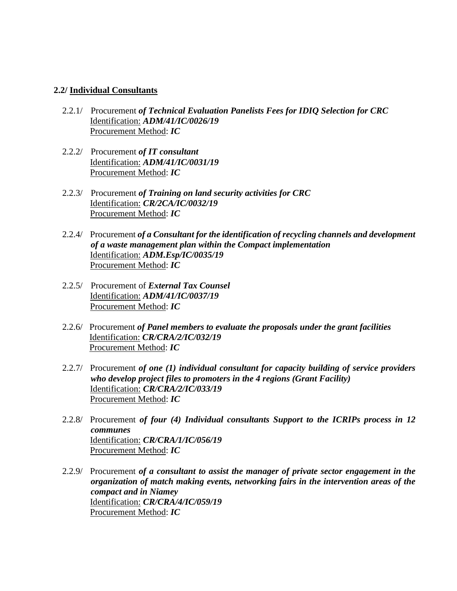#### **2.2/ Individual Consultants**

- 2.2.1/ Procurement *of Technical Evaluation Panelists Fees for IDIQ Selection for CRC* Identification: *ADM/41/IC/0026/19* Procurement Method: *IC*
- 2.2.2/ Procurement *of IT consultant* Identification: *ADM/41/IC/0031/19* Procurement Method: *IC*
- 2.2.3/ Procurement *of Training on land security activities for CRC* Identification: *CR/2CA/IC/0032/19* Procurement Method: *IC*
- 2.2.4/ Procurement *of a Consultant for the identification of recycling channels and development of a waste management plan within the Compact implementation* Identification: *ADM.Esp/IC/0035/19* Procurement Method: *IC*
- 2.2.5/ Procurement of *External Tax Counsel* Identification: *ADM/41/IC/0037/19* Procurement Method: *IC*
- 2.2.6/ Procurement *of Panel members to evaluate the proposals under the grant facilities* Identification: *CR/CRA/2/IC/032/19* Procurement Method: *IC*
- 2.2.7/ Procurement *of one (1) individual consultant for capacity building of service providers who develop project files to promoters in the 4 regions (Grant Facility)* Identification: *CR/CRA/2/IC/033/19* Procurement Method: *IC*
- 2.2.8/ Procurement *of four (4) Individual consultants Support to the ICRIPs process in 12 communes* Identification: *CR/CRA/1/IC/056/19* Procurement Method: *IC*
- 2.2.9/ Procurement *of a consultant to assist the manager of private sector engagement in the organization of match making events, networking fairs in the intervention areas of the compact and in Niamey* Identification: *CR/CRA/4/IC/059/19* Procurement Method: *IC*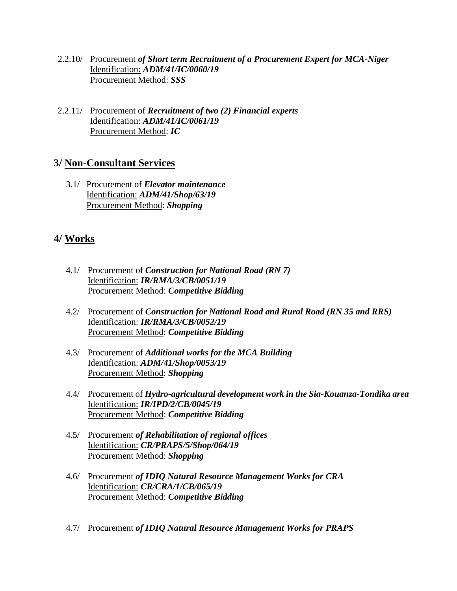- 2.2.10/ Procurement *of Short term Recruitment of a Procurement Expert for MCA-Niger* Identification: *ADM/41/IC/0060/19* Procurement Method: *SSS*
- 2.2.11/ Procurement of *Recruitment of two (2) Financial experts* Identification: *ADM/41/IC/0061/19* Procurement Method: *IC*

## **3/ Non-Consultant Services**

3.1/ Procurement of *Elevator maintenance* Identification: *ADM/41/Shop/63/19* Procurement Method: *Shopping*

# **4/ Works**

- 4.1/ Procurement of *Construction for National Road (RN 7)* Identification: *IR/RMA/3/CB/0051/19* Procurement Method: *Competitive Bidding*
- 4.2/ Procurement of *Construction for National Road and Rural Road (RN 35 and RRS)* Identification: *IR/RMA/3/CB/0052/19* Procurement Method: *Competitive Bidding*
- 4.3/ Procurement of *Additional works for the MCA Building* Identification: *ADM/41/Shop/0053/19* Procurement Method: *Shopping*
- 4.4/ Procurement of *Hydro-agricultural development work in the Sia-Kouanza-Tondika area* Identification: *IR/IPD/2/CB/0045/19* Procurement Method: *Competitive Bidding*
- 4.5/ Procurement *of Rehabilitation of regional offices* Identification: *CR/PRAPS/5/Shop/064/19* Procurement Method: *Shopping*
- 4.6/ Procurement *of IDIQ Natural Resource Management Works for CRA* Identification: *CR/CRA/1/CB/065/19* Procurement Method: *Competitive Bidding*
- 4.7/ Procurement *of IDIQ Natural Resource Management Works for PRAPS*